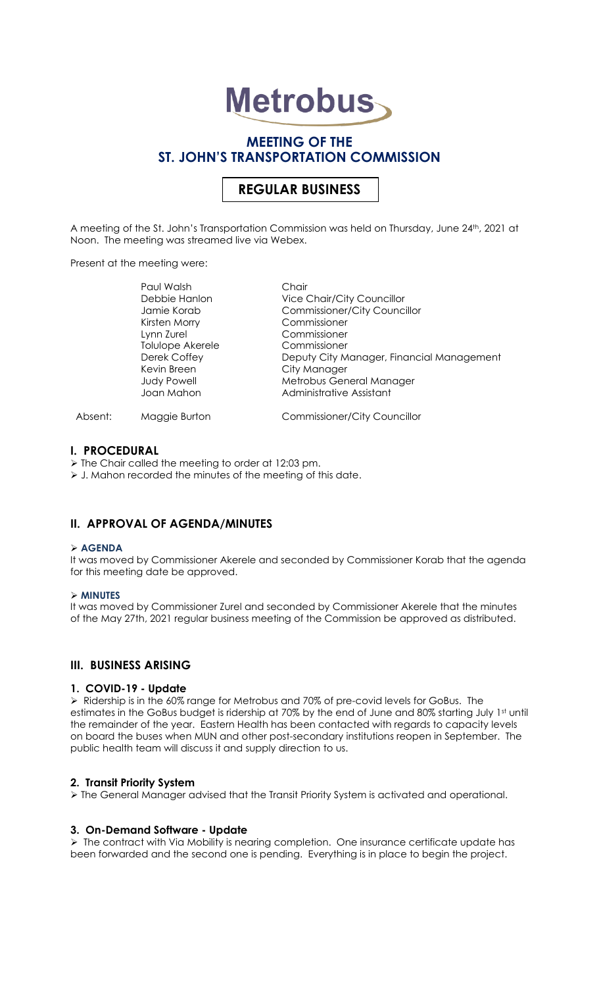# **Metrobus**

# **MEETING OF THE ST. JOHN'S TRANSPORTATION COMMISSION**

# **REGULAR BUSINESS**

A meeting of the St. John's Transportation Commission was held on Thursday, June 24th, 2021 at Noon. The meeting was streamed live via Webex.

Present at the meeting were:

|         | Paul Walsh         | Chair                                     |
|---------|--------------------|-------------------------------------------|
|         | Debbie Hanlon      | <b>Vice Chair/City Councillor</b>         |
|         | Jamie Korab        | <b>Commissioner/City Councillor</b>       |
|         | Kirsten Morry      | Commissioner                              |
|         | Lynn Zurel         | Commissioner                              |
|         | Tolulope Akerele   | Commissioner                              |
|         | Derek Coffey       | Deputy City Manager, Financial Management |
|         | Kevin Breen        | City Manager                              |
|         | <b>Judy Powell</b> | Metrobus General Manager                  |
|         | Joan Mahon         | Administrative Assistant                  |
| Absent: | Maggie Burton      | <b>Commissioner/City Councillor</b>       |

#### **I. PROCEDURAL**

➢ The Chair called the meeting to order at 12:03 pm.

➢ J. Mahon recorded the minutes of the meeting of this date.

# **II. APPROVAL OF AGENDA/MINUTES**

#### ➢ **AGENDA**

It was moved by Commissioner Akerele and seconded by Commissioner Korab that the agenda for this meeting date be approved.

#### ➢ **MINUTES**

It was moved by Commissioner Zurel and seconded by Commissioner Akerele that the minutes of the May 27th, 2021 regular business meeting of the Commission be approved as distributed.

# **III. BUSINESS ARISING**

#### **1. COVID-19 - Update**

➢ Ridership is in the 60% range for Metrobus and 70% of pre-covid levels for GoBus. The estimates in the GoBus budget is ridership at 70% by the end of June and 80% starting July 1st until the remainder of the year. Eastern Health has been contacted with regards to capacity levels on board the buses when MUN and other post-secondary institutions reopen in September. The public health team will discuss it and supply direction to us.

#### **2. Transit Priority System**

➢ The General Manager advised that the Transit Priority System is activated and operational.

### **3. On-Demand Software - Update**

➢ The contract with Via Mobility is nearing completion. One insurance certificate update has been forwarded and the second one is pending. Everything is in place to begin the project.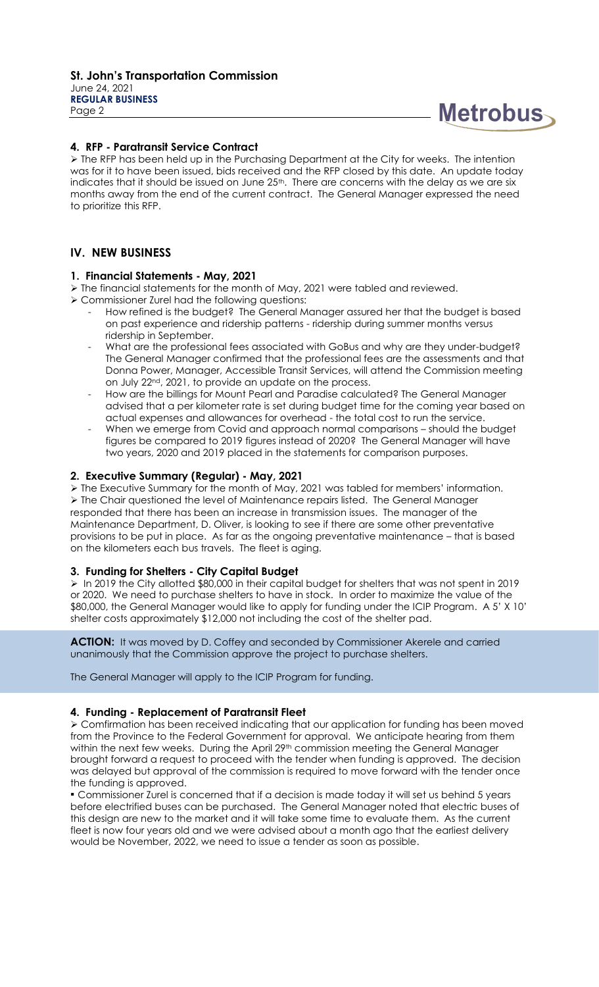

## **4. RFP - Paratransit Service Contract**

➢ The RFP has been held up in the Purchasing Department at the City for weeks. The intention was for it to have been issued, bids received and the RFP closed by this date. An update today indicates that it should be issued on June 25<sup>th</sup>. There are concerns with the delay as we are six months away from the end of the current contract. The General Manager expressed the need to prioritize this RFP.

# **IV. NEW BUSINESS**

### **1. Financial Statements - May, 2021**

➢ The financial statements for the month of May, 2021 were tabled and reviewed.

- ➢ Commissioner Zurel had the following questions:
	- How refined is the budget? The General Manager assured her that the budget is based on past experience and ridership patterns - ridership during summer months versus ridership in September.
	- What are the professional fees associated with GoBus and why are they under-budget? The General Manager confirmed that the professional fees are the assessments and that Donna Power, Manager, Accessible Transit Services, will attend the Commission meeting on July 22nd, 2021, to provide an update on the process.
	- How are the billings for Mount Pearl and Paradise calculated? The General Manager advised that a per kilometer rate is set during budget time for the coming year based on actual expenses and allowances for overhead - the total cost to run the service.
	- When we emerge from Covid and approach normal comparisons should the budget figures be compared to 2019 figures instead of 2020? The General Manager will have two years, 2020 and 2019 placed in the statements for comparison purposes.

### **2. Executive Summary (Regular) - May, 2021**

➢ The Executive Summary for the month of May, 2021 was tabled for members' information. ➢ The Chair questioned the level of Maintenance repairs listed. The General Manager responded that there has been an increase in transmission issues. The manager of the Maintenance Department, D. Oliver, is looking to see if there are some other preventative provisions to be put in place. As far as the ongoing preventative maintenance – that is based on the kilometers each bus travels. The fleet is aging.

#### **3. Funding for Shelters - City Capital Budget**

➢ In 2019 the City allotted \$80,000 in their capital budget for shelters that was not spent in 2019 or 2020. We need to purchase shelters to have in stock. In order to maximize the value of the \$80,000, the General Manager would like to apply for funding under the ICIP Program. A 5' X 10' shelter costs approximately \$12,000 not including the cost of the shelter pad.

**ACTION:** It was moved by D. Coffey and seconded by Commissioner Akerele and carried unanimously that the Commission approve the project to purchase shelters.

The General Manager will apply to the ICIP Program for funding.

#### **4. Funding - Replacement of Paratransit Fleet**

➢ Comfirmation has been received indicating that our application for funding has been moved from the Province to the Federal Government for approval. We anticipate hearing from them within the next few weeks. During the April 29<sup>th</sup> commission meeting the General Manager brought forward a request to proceed with the tender when funding is approved. The decision was delayed but approval of the commission is required to move forward with the tender once the funding is approved.

**▪** Commissioner Zurel is concerned that if a decision is made today it will set us behind 5 years before electrified buses can be purchased. The General Manager noted that electric buses of this design are new to the market and it will take some time to evaluate them. As the current fleet is now four years old and we were advised about a month ago that the earliest delivery would be November, 2022, we need to issue a tender as soon as possible.